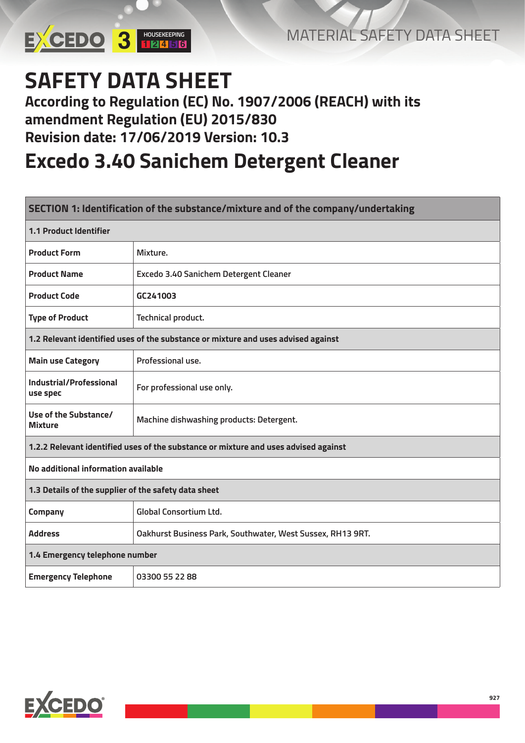

## **SAFETY DATA SHEET**

#### **According to Regulation (EC) No. 1907/2006 (REACH) with its amendment Regulation (EU) 2015/830 Revision date: 17/06/2019 Version: 10.3**

### **Excedo 3.40 Sanichem Detergent Cleaner**

| SECTION 1: Identification of the substance/mixture and of the company/undertaking |                                                                                     |  |  |  |
|-----------------------------------------------------------------------------------|-------------------------------------------------------------------------------------|--|--|--|
| <b>1.1 Product Identifier</b>                                                     |                                                                                     |  |  |  |
| <b>Product Form</b>                                                               | Mixture.                                                                            |  |  |  |
| <b>Product Name</b>                                                               | Excedo 3.40 Sanichem Detergent Cleaner                                              |  |  |  |
| <b>Product Code</b>                                                               | GC241003                                                                            |  |  |  |
| <b>Type of Product</b>                                                            | Technical product.                                                                  |  |  |  |
|                                                                                   | 1.2 Relevant identified uses of the substance or mixture and uses advised against   |  |  |  |
| <b>Main use Category</b>                                                          | Professional use.                                                                   |  |  |  |
| Industrial/Professional<br>use spec                                               | For professional use only.                                                          |  |  |  |
| Use of the Substance/<br><b>Mixture</b>                                           | Machine dishwashing products: Detergent.                                            |  |  |  |
|                                                                                   | 1.2.2 Relevant identified uses of the substance or mixture and uses advised against |  |  |  |
| No additional information available                                               |                                                                                     |  |  |  |
| 1.3 Details of the supplier of the safety data sheet                              |                                                                                     |  |  |  |
| Company                                                                           | <b>Global Consortium Ltd.</b>                                                       |  |  |  |
| <b>Address</b>                                                                    | Oakhurst Business Park, Southwater, West Sussex, RH13 9RT.                          |  |  |  |
| 1.4 Emergency telephone number                                                    |                                                                                     |  |  |  |
| <b>Emergency Telephone</b>                                                        | 03300 55 22 88                                                                      |  |  |  |

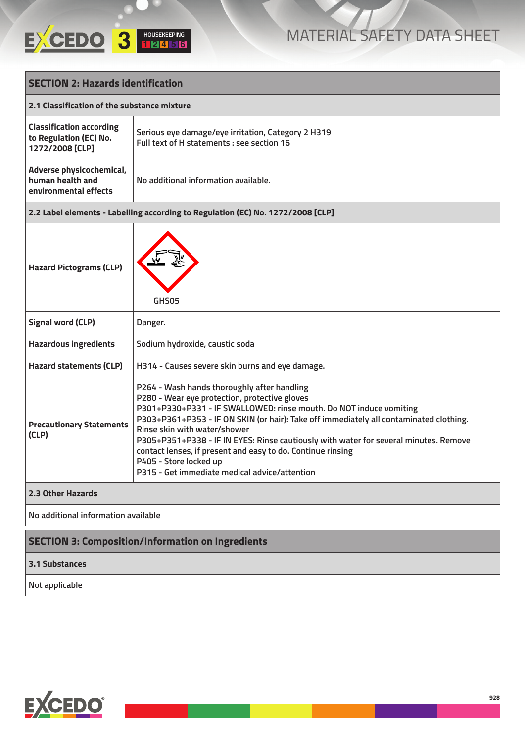

| <b>SECTION 2: Hazards identification</b>                                     |                                                                                                                                                                                                                                                                                                                                                                                                                                                                                                                                |  |  |
|------------------------------------------------------------------------------|--------------------------------------------------------------------------------------------------------------------------------------------------------------------------------------------------------------------------------------------------------------------------------------------------------------------------------------------------------------------------------------------------------------------------------------------------------------------------------------------------------------------------------|--|--|
| 2.1 Classification of the substance mixture                                  |                                                                                                                                                                                                                                                                                                                                                                                                                                                                                                                                |  |  |
| <b>Classification according</b><br>to Regulation (EC) No.<br>1272/2008 [CLP] | Serious eye damage/eye irritation, Category 2 H319<br>Full text of H statements : see section 16                                                                                                                                                                                                                                                                                                                                                                                                                               |  |  |
| Adverse physicochemical,<br>human health and<br>environmental effects        | No additional information available.                                                                                                                                                                                                                                                                                                                                                                                                                                                                                           |  |  |
|                                                                              | 2.2 Label elements - Labelling according to Regulation (EC) No. 1272/2008 [CLP]                                                                                                                                                                                                                                                                                                                                                                                                                                                |  |  |
| <b>Hazard Pictograms (CLP)</b>                                               | GHS05                                                                                                                                                                                                                                                                                                                                                                                                                                                                                                                          |  |  |
| <b>Signal word (CLP)</b>                                                     | Danger.                                                                                                                                                                                                                                                                                                                                                                                                                                                                                                                        |  |  |
| <b>Hazardous ingredients</b>                                                 | Sodium hydroxide, caustic soda                                                                                                                                                                                                                                                                                                                                                                                                                                                                                                 |  |  |
| <b>Hazard statements (CLP)</b>                                               | H314 - Causes severe skin burns and eye damage.                                                                                                                                                                                                                                                                                                                                                                                                                                                                                |  |  |
| <b>Precautionary Statements</b><br>(CLP)                                     | P264 - Wash hands thoroughly after handling<br>P280 - Wear eye protection, protective gloves<br>P301+P330+P331 - IF SWALLOWED: rinse mouth. Do NOT induce vomiting<br>P303+P361+P353 - IF ON SKIN (or hair): Take off immediately all contaminated clothing.<br>Rinse skin with water/shower<br>P305+P351+P338 - IF IN EYES: Rinse cautiously with water for several minutes. Remove<br>contact lenses, if present and easy to do. Continue rinsing<br>P405 - Store locked up<br>P315 - Get immediate medical advice/attention |  |  |
| 2.3 Other Hazards                                                            |                                                                                                                                                                                                                                                                                                                                                                                                                                                                                                                                |  |  |
| No additional information available                                          |                                                                                                                                                                                                                                                                                                                                                                                                                                                                                                                                |  |  |
| <b>SECTION 3: Composition/Information on Ingredients</b>                     |                                                                                                                                                                                                                                                                                                                                                                                                                                                                                                                                |  |  |
| <b>3.1 Substances</b>                                                        |                                                                                                                                                                                                                                                                                                                                                                                                                                                                                                                                |  |  |
| Not applicable                                                               |                                                                                                                                                                                                                                                                                                                                                                                                                                                                                                                                |  |  |

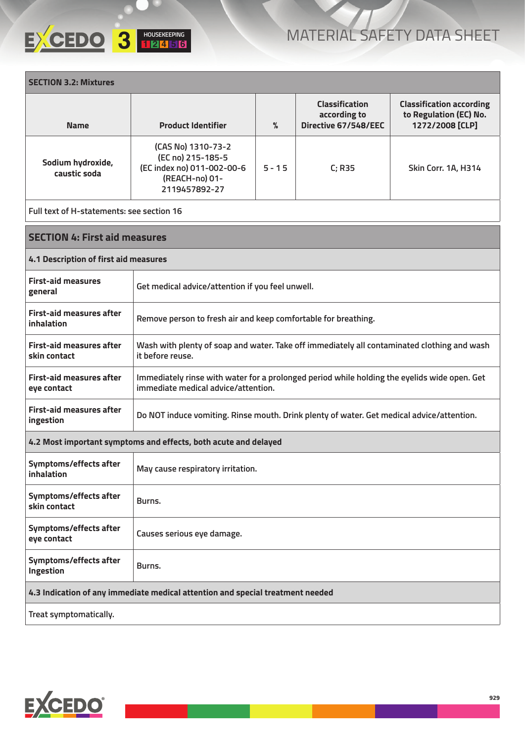## **HOUSEKEEPING 3 <sup>1</sup> <sup>2</sup> <sup>4</sup> <sup>5</sup> <sup>6</sup>**

| <b>SECTION 3.2: Mixtures</b>                                                   |                                                                                                                                     |          |                                                               |                                                                              |
|--------------------------------------------------------------------------------|-------------------------------------------------------------------------------------------------------------------------------------|----------|---------------------------------------------------------------|------------------------------------------------------------------------------|
| <b>Name</b>                                                                    | <b>Product Identifier</b>                                                                                                           | $\%$     | <b>Classification</b><br>according to<br>Directive 67/548/EEC | <b>Classification according</b><br>to Regulation (EC) No.<br>1272/2008 [CLP] |
| Sodium hydroxide,<br>caustic soda                                              | (CAS No) 1310-73-2<br>(EC no) 215-185-5<br>(EC index no) 011-002-00-6<br>(REACH-no) 01-<br>2119457892-27                            | $5 - 15$ | C; R35                                                        | Skin Corr. 1A, H314                                                          |
| Full text of H-statements: see section 16                                      |                                                                                                                                     |          |                                                               |                                                                              |
| <b>SECTION 4: First aid measures</b>                                           |                                                                                                                                     |          |                                                               |                                                                              |
| 4.1 Description of first aid measures                                          |                                                                                                                                     |          |                                                               |                                                                              |
| <b>First-aid measures</b><br>general                                           | Get medical advice/attention if you feel unwell.                                                                                    |          |                                                               |                                                                              |
| <b>First-aid measures after</b><br>inhalation                                  | Remove person to fresh air and keep comfortable for breathing.                                                                      |          |                                                               |                                                                              |
| <b>First-aid measures after</b><br>skin contact                                | Wash with plenty of soap and water. Take off immediately all contaminated clothing and wash<br>it before reuse.                     |          |                                                               |                                                                              |
| <b>First-aid measures after</b><br>eye contact                                 | Immediately rinse with water for a prolonged period while holding the eyelids wide open. Get<br>immediate medical advice/attention. |          |                                                               |                                                                              |
| <b>First-aid measures after</b><br>ingestion                                   | Do NOT induce vomiting. Rinse mouth. Drink plenty of water. Get medical advice/attention.                                           |          |                                                               |                                                                              |
|                                                                                | 4.2 Most important symptoms and effects, both acute and delayed                                                                     |          |                                                               |                                                                              |
| Symptoms/effects after<br>inhalation                                           | May cause respiratory irritation.                                                                                                   |          |                                                               |                                                                              |
| Symptoms/effects after<br>skin contact                                         | Burns.                                                                                                                              |          |                                                               |                                                                              |
| Symptoms/effects after<br>eye contact                                          | Causes serious eye damage.                                                                                                          |          |                                                               |                                                                              |
| Symptoms/effects after<br>Ingestion                                            | Burns.                                                                                                                              |          |                                                               |                                                                              |
| 4.3 Indication of any immediate medical attention and special treatment needed |                                                                                                                                     |          |                                                               |                                                                              |
| Treat symptomatically.                                                         |                                                                                                                                     |          |                                                               |                                                                              |

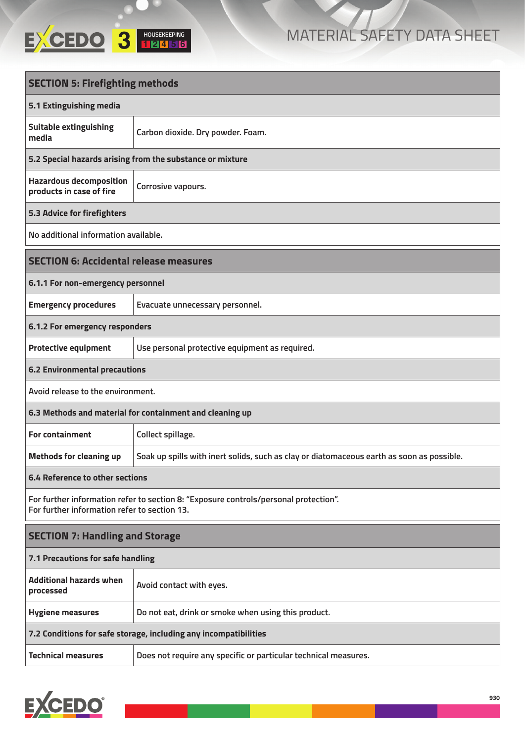

| <b>SECTION 5: Firefighting methods</b>                           |                                                                                           |  |  |
|------------------------------------------------------------------|-------------------------------------------------------------------------------------------|--|--|
| 5.1 Extinguishing media                                          |                                                                                           |  |  |
| <b>Suitable extinguishing</b><br>media                           | Carbon dioxide. Dry powder. Foam.                                                         |  |  |
|                                                                  | 5.2 Special hazards arising from the substance or mixture                                 |  |  |
| <b>Hazardous decomposition</b><br>products in case of fire       | Corrosive vapours.                                                                        |  |  |
| 5.3 Advice for firefighters                                      |                                                                                           |  |  |
| No additional information available.                             |                                                                                           |  |  |
| <b>SECTION 6: Accidental release measures</b>                    |                                                                                           |  |  |
| 6.1.1 For non-emergency personnel                                |                                                                                           |  |  |
| <b>Emergency procedures</b>                                      | Evacuate unnecessary personnel.                                                           |  |  |
| 6.1.2 For emergency responders                                   |                                                                                           |  |  |
| <b>Protective equipment</b>                                      | Use personal protective equipment as required.                                            |  |  |
| <b>6.2 Environmental precautions</b>                             |                                                                                           |  |  |
| Avoid release to the environment.                                |                                                                                           |  |  |
|                                                                  | 6.3 Methods and material for containment and cleaning up                                  |  |  |
| <b>For containment</b>                                           | Collect spillage.                                                                         |  |  |
| <b>Methods for cleaning up</b>                                   | Soak up spills with inert solids, such as clay or diatomaceous earth as soon as possible. |  |  |
| 6.4 Reference to other sections                                  |                                                                                           |  |  |
| For further information refer to section 13.                     | For further information refer to section 8: "Exposure controls/personal protection".      |  |  |
| <b>SECTION 7: Handling and Storage</b>                           |                                                                                           |  |  |
| 7.1 Precautions for safe handling                                |                                                                                           |  |  |
| <b>Additional hazards when</b><br>processed                      | Avoid contact with eyes.                                                                  |  |  |
| <b>Hygiene measures</b>                                          | Do not eat, drink or smoke when using this product.                                       |  |  |
| 7.2 Conditions for safe storage, including any incompatibilities |                                                                                           |  |  |
| <b>Technical measures</b>                                        | Does not require any specific or particular technical measures.                           |  |  |

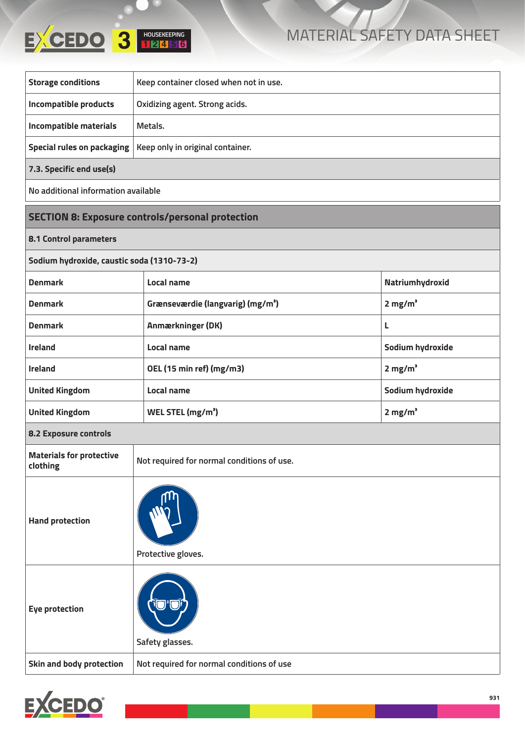## **HOUSEKEEPING 3 <sup>1</sup> <sup>2</sup> <sup>4</sup> <sup>5</sup> <sup>6</sup>**

### MATERIAL SAFETY DATA SHEET

| <b>Storage conditions</b>           | Keep container closed when not in use.                        |  |  |
|-------------------------------------|---------------------------------------------------------------|--|--|
| Incompatible products               | Oxidizing agent. Strong acids.                                |  |  |
| Incompatible materials              | Metals.                                                       |  |  |
|                                     | Special rules on packaging   Keep only in original container. |  |  |
| 7.3. Specific end use(s)            |                                                               |  |  |
| No additional information available |                                                               |  |  |
|                                     |                                                               |  |  |

#### **SECTION 8: Exposure controls/personal protection**

#### **8.1 Control parameters**

| Sodium hydroxide, caustic soda (1310-73-2) |                                               |                       |  |
|--------------------------------------------|-----------------------------------------------|-----------------------|--|
| <b>Denmark</b>                             | Local name                                    | Natriumhydroxid       |  |
| <b>Denmark</b>                             | Grænseværdie (langvarig) (mg/m <sup>3</sup> ) | $2$ mg/m <sup>3</sup> |  |
| <b>Denmark</b>                             | Anmærkninger (DK)                             | L                     |  |
| <b>Ireland</b>                             | Local name                                    | Sodium hydroxide      |  |
| <b>Ireland</b>                             | OEL (15 min ref) (mg/m3)                      | 2 mg/m <sup>3</sup>   |  |
| <b>United Kingdom</b>                      | Local name                                    | Sodium hydroxide      |  |
| <b>United Kingdom</b>                      | WEL STEL (mg/m <sup>3</sup> )                 | 2 mg/m <sup>3</sup>   |  |
| <b>8.2 Exposure controls</b>               |                                               |                       |  |

| <b>Materials for protective</b><br>clothing | Not required for normal conditions of use. |
|---------------------------------------------|--------------------------------------------|
| <b>Hand protection</b>                      |                                            |

|                          | Protective gloves.                        |
|--------------------------|-------------------------------------------|
| <b>Eye protection</b>    | <b>י</b> ים נ<br>Safety glasses.          |
| Skin and body protection | Not required for normal conditions of use |

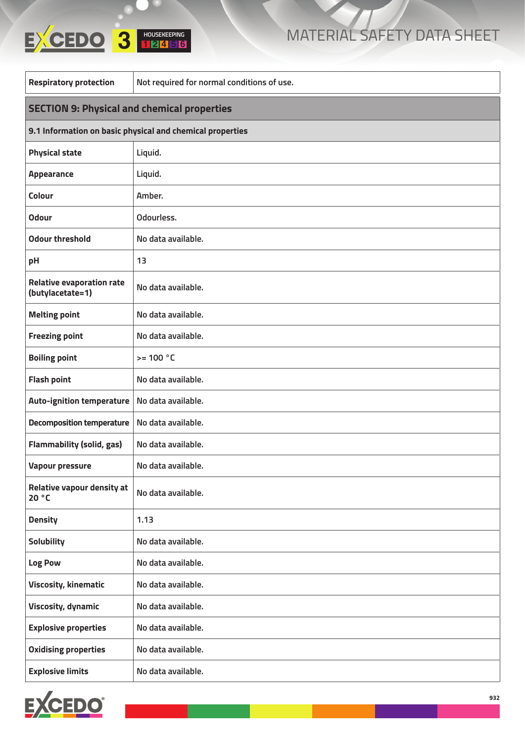# **HOUSEKEEPING 3 <sup>1</sup> <sup>2</sup> <sup>4</sup> <sup>5</sup> <sup>6</sup>**



| <b>Respiratory protection</b>                        | Not required for normal conditions of use.                |  |  |  |
|------------------------------------------------------|-----------------------------------------------------------|--|--|--|
|                                                      | <b>SECTION 9: Physical and chemical properties</b>        |  |  |  |
|                                                      | 9.1 Information on basic physical and chemical properties |  |  |  |
| <b>Physical state</b>                                | Liquid.                                                   |  |  |  |
| <b>Appearance</b>                                    | Liquid.                                                   |  |  |  |
| <b>Colour</b>                                        | Amber.                                                    |  |  |  |
| <b>Odour</b>                                         | Odourless.                                                |  |  |  |
| <b>Odour threshold</b>                               | No data available.                                        |  |  |  |
| pH                                                   | 13                                                        |  |  |  |
| <b>Relative evaporation rate</b><br>(butylacetate=1) | No data available.                                        |  |  |  |
| <b>Melting point</b>                                 | No data available.                                        |  |  |  |
| <b>Freezing point</b>                                | No data available.                                        |  |  |  |
| <b>Boiling point</b>                                 | $>= 100 °C$                                               |  |  |  |
| <b>Flash point</b>                                   | No data available.                                        |  |  |  |
| <b>Auto-ignition temperature</b>                     | No data available.                                        |  |  |  |
| <b>Decomposition temperature</b>                     | No data available.                                        |  |  |  |
| <b>Flammability (solid, gas)</b>                     | No data available.                                        |  |  |  |
| <b>Vapour pressure</b>                               | No data available.                                        |  |  |  |
| <b>Relative vapour density at</b><br>20 °C           | No data available.                                        |  |  |  |
| <b>Density</b>                                       | 1.13                                                      |  |  |  |
| <b>Solubility</b>                                    | No data available.                                        |  |  |  |
| Log Pow                                              | No data available.                                        |  |  |  |
| <b>Viscosity, kinematic</b>                          | No data available.                                        |  |  |  |
| <b>Viscosity, dynamic</b>                            | No data available.                                        |  |  |  |
| <b>Explosive properties</b>                          | No data available.                                        |  |  |  |
| <b>Oxidising properties</b>                          | No data available.                                        |  |  |  |
| <b>Explosive limits</b>                              | No data available.                                        |  |  |  |

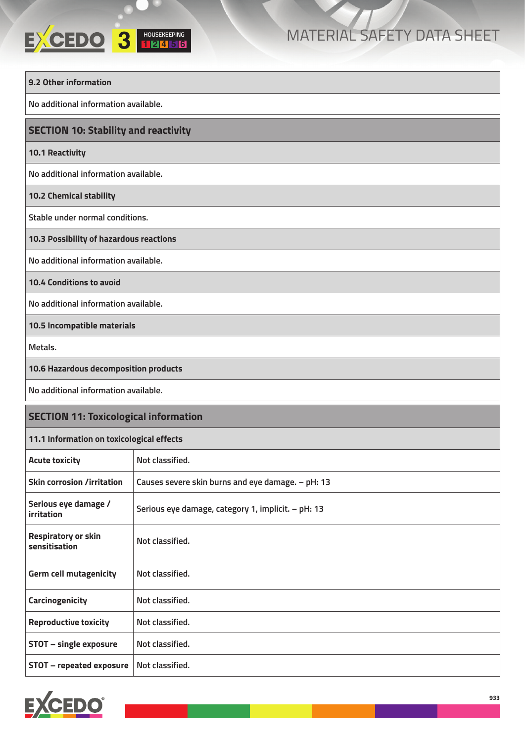## **HOUSEKEEPING**

| 9.2 Other information                        |                                                    |
|----------------------------------------------|----------------------------------------------------|
| No additional information available.         |                                                    |
| <b>SECTION 10: Stability and reactivity</b>  |                                                    |
| <b>10.1 Reactivity</b>                       |                                                    |
| No additional information available.         |                                                    |
| 10.2 Chemical stability                      |                                                    |
| Stable under normal conditions.              |                                                    |
| 10.3 Possibility of hazardous reactions      |                                                    |
| No additional information available.         |                                                    |
| 10.4 Conditions to avoid                     |                                                    |
| No additional information available.         |                                                    |
| 10.5 Incompatible materials                  |                                                    |
| Metals.                                      |                                                    |
| 10.6 Hazardous decomposition products        |                                                    |
| No additional information available.         |                                                    |
| <b>SECTION 11: Toxicological information</b> |                                                    |
| 11.1 Information on toxicological effects    |                                                    |
| <b>Acute toxicity</b>                        | Not classified.                                    |
| <b>Skin corrosion /irritation</b>            | Causes severe skin burns and eye damage. - pH: 13  |
| Serious eye damage /<br>irritation           | Serious eye damage, category 1, implicit. - pH: 13 |
| <b>Respiratory or skin</b><br>sensitisation  | Not classified.                                    |
| <b>Germ cell mutagenicity</b>                | Not classified.                                    |
| Carcinogenicity                              | Not classified.                                    |
| <b>Reproductive toxicity</b>                 | Not classified.                                    |
| STOT - single exposure                       | Not classified.                                    |
| <b>STOT - repeated exposure</b>              | Not classified.                                    |

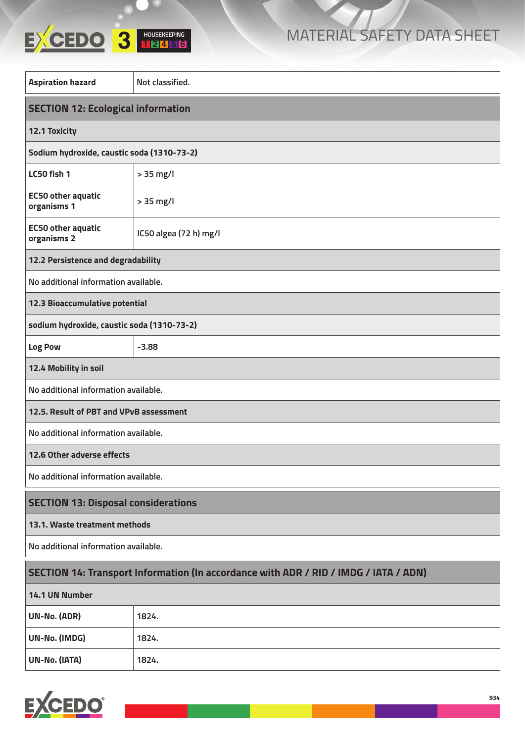

| <b>Aspiration hazard</b>                                                             | Not classified.        |  |
|--------------------------------------------------------------------------------------|------------------------|--|
| <b>SECTION 12: Ecological information</b>                                            |                        |  |
| 12.1 Toxicity                                                                        |                        |  |
| Sodium hydroxide, caustic soda (1310-73-2)                                           |                        |  |
| LC50 fish 1                                                                          | $> 35$ mg/l            |  |
| <b>EC50 other aquatic</b><br>organisms 1                                             | > 35 mg/l              |  |
| <b>EC50 other aquatic</b><br>organisms 2                                             | IC50 algea (72 h) mg/l |  |
| 12.2 Persistence and degradability                                                   |                        |  |
| No additional information available.                                                 |                        |  |
| 12.3 Bioaccumulative potential                                                       |                        |  |
| sodium hydroxide, caustic soda (1310-73-2)                                           |                        |  |
| Log Pow                                                                              | $-3.88$                |  |
| 12.4 Mobility in soil                                                                |                        |  |
| No additional information available.                                                 |                        |  |
| 12.5. Result of PBT and VPvB assessment                                              |                        |  |
| No additional information available.                                                 |                        |  |
| 12.6 Other adverse effects                                                           |                        |  |
| No additional information available.                                                 |                        |  |
| <b>SECTION 13: Disposal considerations</b>                                           |                        |  |
| 13.1. Waste treatment methods                                                        |                        |  |
| No additional information available.                                                 |                        |  |
| SECTION 14: Transport Information (In accordance with ADR / RID / IMDG / IATA / ADN) |                        |  |
| 14.1 UN Number                                                                       |                        |  |
| UN-No. (ADR)                                                                         | 1824.                  |  |
| UN-No. (IMDG)                                                                        | 1824.                  |  |
| UN-No. (IATA)<br>1824.                                                               |                        |  |

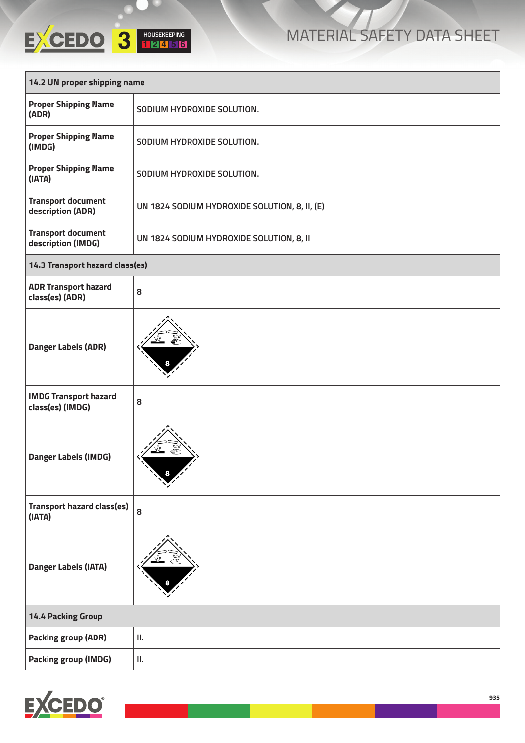|                              | <b>HOUSEKEEPING</b> |  |
|------------------------------|---------------------|--|
| 14.2 UN proper shipping name |                     |  |

| 14.2 UN proper shipping name                     |                                               |  |
|--------------------------------------------------|-----------------------------------------------|--|
| <b>Proper Shipping Name</b><br>(ADR)             | SODIUM HYDROXIDE SOLUTION.                    |  |
| <b>Proper Shipping Name</b><br>(IMDG)            | SODIUM HYDROXIDE SOLUTION.                    |  |
| <b>Proper Shipping Name</b><br>(IATA)            | SODIUM HYDROXIDE SOLUTION.                    |  |
| <b>Transport document</b><br>description (ADR)   | UN 1824 SODIUM HYDROXIDE SOLUTION, 8, II, (E) |  |
| <b>Transport document</b><br>description (IMDG)  | UN 1824 SODIUM HYDROXIDE SOLUTION, 8, II      |  |
| 14.3 Transport hazard class(es)                  |                                               |  |
| <b>ADR Transport hazard</b><br>class(es) (ADR)   | 8                                             |  |
| <b>Danger Labels (ADR)</b>                       |                                               |  |
| <b>IMDG Transport hazard</b><br>class(es) (IMDG) | 8                                             |  |
| <b>Danger Labels (IMDG)</b>                      | $\sum_{i=1}^n$                                |  |
| <b>Transport hazard class(es)</b><br>(IATA)      | 8                                             |  |
| <b>Danger Labels (IATA)</b>                      |                                               |  |
| <b>14.4 Packing Group</b>                        |                                               |  |
| <b>Packing group (ADR)</b>                       | П.                                            |  |
| <b>Packing group (IMDG)</b>                      | Ш.                                            |  |

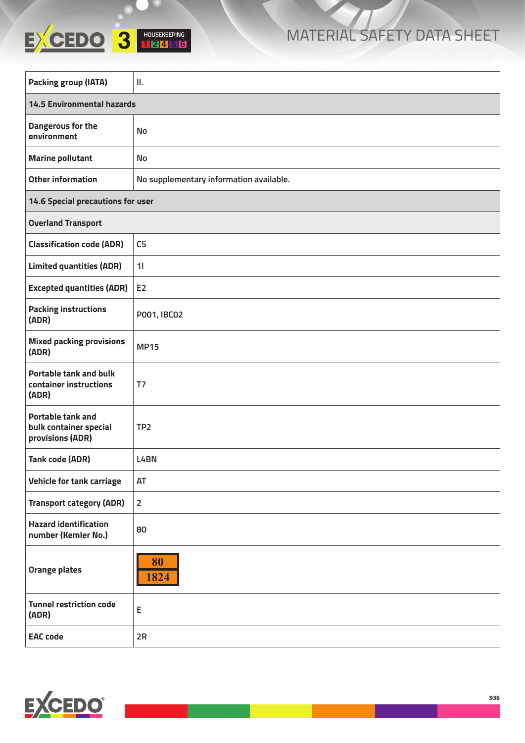| <b>Packing group (IATA)</b>                                            | П.                                      |  |
|------------------------------------------------------------------------|-----------------------------------------|--|
| <b>14.5 Environmental hazards</b>                                      |                                         |  |
| Dangerous for the<br>environment                                       | No                                      |  |
| <b>Marine pollutant</b>                                                | No                                      |  |
| <b>Other information</b>                                               | No supplementary information available. |  |
| 14.6 Special precautions for user                                      |                                         |  |
| <b>Overland Transport</b>                                              |                                         |  |
| <b>Classification code (ADR)</b>                                       | C <sub>5</sub>                          |  |
| <b>Limited quantities (ADR)</b>                                        | 11                                      |  |
| <b>Excepted quantities (ADR)</b>                                       | E <sub>2</sub>                          |  |
| <b>Packing instructions</b><br>(ADR)                                   | P001, IBC02                             |  |
| <b>Mixed packing provisions</b><br>(ADR)                               | <b>MP15</b>                             |  |
| <b>Portable tank and bulk</b><br>container instructions<br>(ADR)       | T7                                      |  |
| <b>Portable tank and</b><br>bulk container special<br>provisions (ADR) | TP <sub>2</sub>                         |  |
| <b>Tank code (ADR)</b>                                                 | L4BN                                    |  |
| Vehicle for tank carriage                                              | AT                                      |  |
| <b>Transport category (ADR)</b>                                        | $\overline{2}$                          |  |
| <b>Hazard identification</b><br>number (Kemler No.)                    | 80                                      |  |
| <b>Orange plates</b>                                                   | 80<br>1824                              |  |
| <b>Tunnel restriction code</b><br>(ADR)                                | E                                       |  |
| <b>EAC</b> code                                                        | 2R                                      |  |



**HOUSEKEEPING**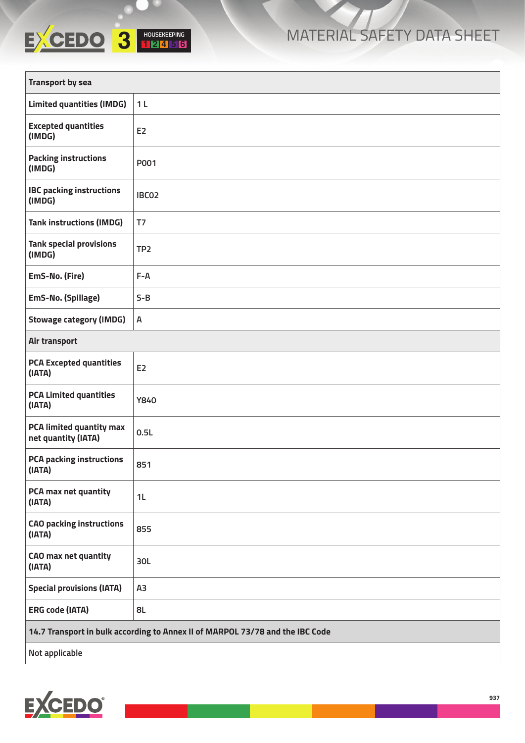## **HOUSEKEEPING**

| <b>Transport by sea</b>                                                       |                 |  |
|-------------------------------------------------------------------------------|-----------------|--|
| <b>Limited quantities (IMDG)</b>                                              | 1 <sub>L</sub>  |  |
| <b>Excepted quantities</b><br>(IMDG)                                          | E <sub>2</sub>  |  |
| <b>Packing instructions</b><br>(IMDG)                                         | P001            |  |
| <b>IBC packing instructions</b><br>(IMDG)                                     | IBC02           |  |
| <b>Tank instructions (IMDG)</b>                                               | T7              |  |
| <b>Tank special provisions</b><br>(IMDG)                                      | TP <sub>2</sub> |  |
| EmS-No. (Fire)                                                                | $F - A$         |  |
| EmS-No. (Spillage)                                                            | $S-B$           |  |
| <b>Stowage category (IMDG)</b>                                                | А               |  |
| Air transport                                                                 |                 |  |
| <b>PCA Excepted quantities</b><br>(IATA)                                      | E <sub>2</sub>  |  |
| <b>PCA Limited quantities</b><br>(IATA)                                       | <b>Y840</b>     |  |
| <b>PCA limited quantity max</b><br>net quantity (IATA)                        | 0.5L            |  |
| <b>PCA packing instructions</b><br>(IATA)                                     | 851             |  |
| PCA max net quantity<br>(IATA)                                                | 1 <sub>L</sub>  |  |
| <b>CAO packing instructions</b><br>(IATA)                                     | 855             |  |
| <b>CAO</b> max net quantity<br>(IATA)                                         | 30L             |  |
| <b>Special provisions (IATA)</b>                                              | A <sub>3</sub>  |  |
| <b>ERG code (IATA)</b>                                                        | 8L              |  |
| 14.7 Transport in bulk according to Annex II of MARPOL 73/78 and the IBC Code |                 |  |
| Not applicable                                                                |                 |  |

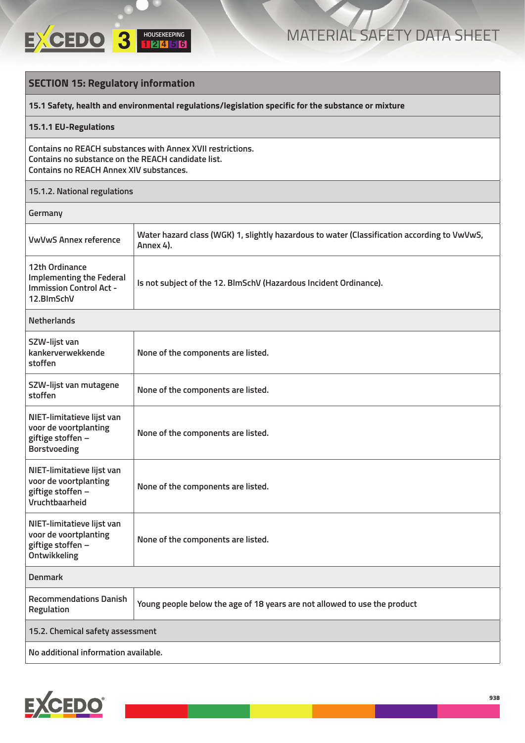

#### **SECTION 15: Regulatory information**

**15.1 Safety, health and environmental regulations/legislation specific for the substance or mixture**

#### **15.1.1 EU-Regulations**

**Contains no REACH substances with Annex XVII restrictions. Contains no substance on the REACH candidate list. Contains no REACH Annex XIV substances.**

#### **15.1.2. National regulations**

| Germany                                                                                           |                                                                                                          |  |
|---------------------------------------------------------------------------------------------------|----------------------------------------------------------------------------------------------------------|--|
| <b>VwVwS Annex reference</b>                                                                      | Water hazard class (WGK) 1, slightly hazardous to water (Classification according to VwVwS,<br>Annex 4). |  |
| 12th Ordinance<br><b>Implementing the Federal</b><br><b>Immission Control Act -</b><br>12.BlmSchV | Is not subject of the 12. BlmSchV (Hazardous Incident Ordinance).                                        |  |
| <b>Netherlands</b>                                                                                |                                                                                                          |  |
| SZW-lijst van<br>kankerverwekkende<br>stoffen                                                     | None of the components are listed.                                                                       |  |
| SZW-lijst van mutagene<br>stoffen                                                                 | None of the components are listed.                                                                       |  |
| NIET-limitatieve lijst van<br>voor de voortplanting<br>giftige stoffen -<br><b>Borstvoeding</b>   | None of the components are listed.                                                                       |  |
| NIET-limitatieve lijst van<br>voor de voortplanting<br>giftige stoffen -<br>Vruchtbaarheid        | None of the components are listed.                                                                       |  |
| NIET-limitatieve lijst van<br>voor de voortplanting<br>giftige stoffen -<br>Ontwikkeling          | None of the components are listed.                                                                       |  |
| <b>Denmark</b>                                                                                    |                                                                                                          |  |
| <b>Recommendations Danish</b><br>Regulation                                                       | Young people below the age of 18 years are not allowed to use the product                                |  |
| 15.2. Chemical safety assessment                                                                  |                                                                                                          |  |
| No additional information available.                                                              |                                                                                                          |  |